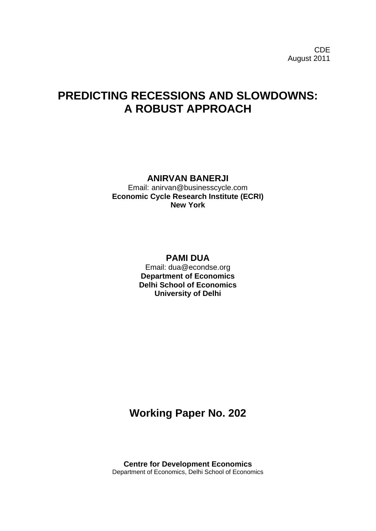# **PREDICTING RECESSIONS AND SLOWDOWNS: A ROBUST APPROACH**

**ANIRVAN BANERJI**

Email: anirvan@businesscycle.com **Economic Cycle Research Institute (ECRI) New York**

> **PAMI DUA** Email: dua@econdse.org **Department of Economics Delhi School of Economics University of Delhi**

## **Working Paper No. 202**

**Centre for Development Economics** Department of Economics, Delhi School of Economics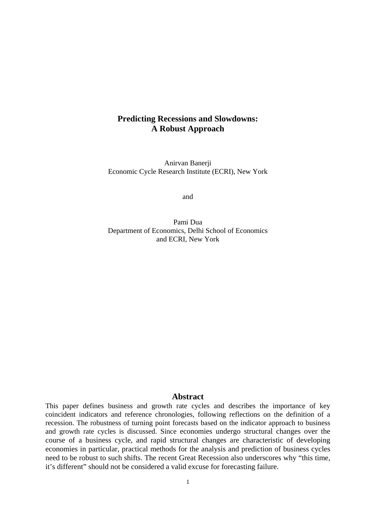### **Predicting Recessions and Slowdowns: A Robust Approach**

Anirvan Banerji Economic Cycle Research Institute (ECRI), New York

and

Pami Dua Department of Economics, Delhi School of Economics and ECRI, New York

#### **Abstract**

This paper defines business and growth rate cycles and describes the importance of key coincident indicators and reference chronologies, following reflections on the definition of a recession. The robustness of turning point forecasts based on the indicator approach to business and growth rate cycles is discussed. Since economies undergo structural changes over the course of a business cycle, and rapid structural changes are characteristic of developing economies in particular, practical methods for the analysis and prediction of business cycles need to be robust to such shifts. The recent Great Recession also underscores why "this time, it's different" should not be considered a valid excuse for forecasting failure.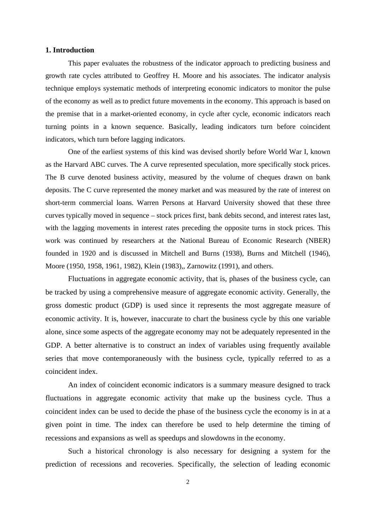#### **1. Introduction**

This paper evaluates the robustness of the indicator approach to predicting business and growth rate cycles attributed to Geoffrey H. Moore and his associates. The indicator analysis technique employs systematic methods of interpreting economic indicators to monitor the pulse of the economy as well as to predict future movements in the economy. This approach is based on the premise that in a market-oriented economy, in cycle after cycle, economic indicators reach turning points in a known sequence. Basically, leading indicators turn before coincident indicators, which turn before lagging indicators.

One of the earliest systems of this kind was devised shortly before World War I, known as the Harvard ABC curves. The A curve represented speculation, more specifically stock prices. The B curve denoted business activity, measured by the volume of cheques drawn on bank deposits. The C curve represented the money market and was measured by the rate of interest on short-term commercial loans. Warren Persons at Harvard University showed that these three curves typically moved in sequence – stock prices first, bank debits second, and interest rates last, with the lagging movements in interest rates preceding the opposite turns in stock prices. This work was continued by researchers at the National Bureau of Economic Research (NBER) founded in 1920 and is discussed in Mitchell and Burns (1938), Burns and Mitchell (1946), Moore (1950, 1958, 1961, 1982), Klein (1983),, Zarnowitz (1991), and others.

Fluctuations in aggregate economic activity, that is, phases of the business cycle, can be tracked by using a comprehensive measure of aggregate economic activity. Generally, the gross domestic product (GDP) is used since it represents the most aggregate measure of economic activity. It is, however, inaccurate to chart the business cycle by this one variable alone, since some aspects of the aggregate economy may not be adequately represented in the GDP. A better alternative is to construct an index of variables using frequently available series that move contemporaneously with the business cycle, typically referred to as a coincident index.

An index of coincident economic indicators is a summary measure designed to track fluctuations in aggregate economic activity that make up the business cycle. Thus a coincident index can be used to decide the phase of the business cycle the economy is in at a given point in time. The index can therefore be used to help determine the timing of recessions and expansions as well as speedups and slowdowns in the economy.

Such a historical chronology is also necessary for designing a system for the prediction of recessions and recoveries. Specifically, the selection of leading economic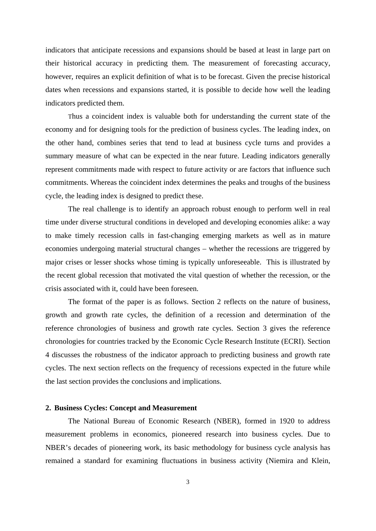indicators that anticipate recessions and expansions should be based at least in large part on their historical accuracy in predicting them. The measurement of forecasting accuracy, however, requires an explicit definition of what is to be forecast. Given the precise historical dates when recessions and expansions started, it is possible to decide how well the leading indicators predicted them.

Thus a coincident index is valuable both for understanding the current state of the economy and for designing tools for the prediction of business cycles. The leading index, on the other hand, combines series that tend to lead at business cycle turns and provides a summary measure of what can be expected in the near future. Leading indicators generally represent commitments made with respect to future activity or are factors that influence such commitments. Whereas the coincident index determines the peaks and troughs of the business cycle, the leading index is designed to predict these.

The real challenge is to identify an approach robust enough to perform well in real time under diverse structural conditions in developed and developing economies alike: a way to make timely recession calls in fast-changing emerging markets as well as in mature economies undergoing material structural changes – whether the recessions are triggered by major crises or lesser shocks whose timing is typically unforeseeable. This is illustrated by the recent global recession that motivated the vital question of whether the recession, or the crisis associated with it, could have been foreseen.

The format of the paper is as follows. Section 2 reflects on the nature of business, growth and growth rate cycles, the definition of a recession and determination of the reference chronologies of business and growth rate cycles. Section 3 gives the reference chronologies for countries tracked by the Economic Cycle Research Institute (ECRI). Section 4 discusses the robustness of the indicator approach to predicting business and growth rate cycles. The next section reflects on the frequency of recessions expected in the future while the last section provides the conclusions and implications.

#### **2. Business Cycles: Concept and Measurement**

The National Bureau of Economic Research (NBER), formed in 1920 to address measurement problems in economics, pioneered research into business cycles. Due to NBER's decades of pioneering work, its basic methodology for business cycle analysis has remained a standard for examining fluctuations in business activity (Niemira and Klein,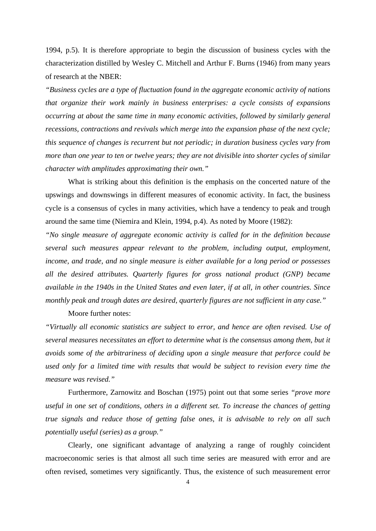1994, p.5). It is therefore appropriate to begin the discussion of business cycles with the characterization distilled by Wesley C. Mitchell and Arthur F. Burns (1946) from many years of research at the NBER:

*"Business cycles are a type of fluctuation found in the aggregate economic activity of nations that organize their work mainly in business enterprises: a cycle consists of expansions occurring at about the same time in many economic activities, followed by similarly general recessions, contractions and revivals which merge into the expansion phase of the next cycle; this sequence of changes is recurrent but not periodic; in duration business cycles vary from more than one year to ten or twelve years; they are not divisible into shorter cycles of similar character with amplitudes approximating their own."*

What is striking about this definition is the emphasis on the concerted nature of the upswings and downswings in different measures of economic activity. In fact, the business cycle is a consensus of cycles in many activities, which have a tendency to peak and trough around the same time (Niemira and Klein, 1994, p.4). As noted by Moore (1982):

*"No single measure of aggregate economic activity is called for in the definition because several such measures appear relevant to the problem, including output, employment, income, and trade, and no single measure is either available for a long period or possesses all the desired attributes. Quarterly figures for gross national product (GNP) became available in the 1940s in the United States and even later, if at all, in other countries. Since monthly peak and trough dates are desired, quarterly figures are not sufficient in any case."*

#### Moore further notes:

*"Virtually all economic statistics are subject to error, and hence are often revised. Use of several measures necessitates an effort to determine what is the consensus among them, but it avoids some of the arbitrariness of deciding upon a single measure that perforce could be used only for a limited time with results that would be subject to revision every time the measure was revised."* 

Furthermore, Zarnowitz and Boschan (1975) point out that some series *"prove more useful in one set of conditions, others in a different set. To increase the chances of getting true signals and reduce those of getting false ones, it is advisable to rely on all such potentially useful (series) as a group."*

Clearly, one significant advantage of analyzing a range of roughly coincident macroeconomic series is that almost all such time series are measured with error and are often revised, sometimes very significantly. Thus, the existence of such measurement error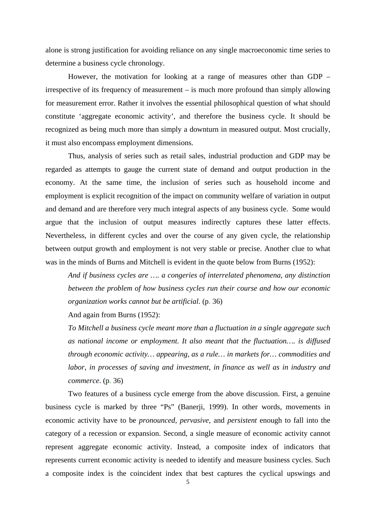alone is strong justification for avoiding reliance on any single macroeconomic time series to determine a business cycle chronology.

However, the motivation for looking at a range of measures other than GDP – irrespective of its frequency of measurement – is much more profound than simply allowing for measurement error. Rather it involves the essential philosophical question of what should constitute 'aggregate economic activity', and therefore the business cycle. It should be recognized as being much more than simply a downturn in measured output. Most crucially, it must also encompass employment dimensions.

Thus, analysis of series such as retail sales, industrial production and GDP may be regarded as attempts to gauge the current state of demand and output production in the economy. At the same time, the inclusion of series such as household income and employment is explicit recognition of the impact on community welfare of variation in output and demand and are therefore very much integral aspects of any business cycle. Some would argue that the inclusion of output measures indirectly captures these latter effects. Nevertheless, in different cycles and over the course of any given cycle, the relationship between output growth and employment is not very stable or precise. Another clue to what was in the minds of Burns and Mitchell is evident in the quote below from Burns (1952):

*And if business cycles are …. a congeries of interrelated phenomena, any distinction between the problem of how business cycles run their course and how our economic organization works cannot but be artificial.* (p. 36)

#### And again from Burns (1952):

*To Mitchell a business cycle meant more than a fluctuation in a single aggregate such as national income or employment. It also meant that the fluctuation…. is diffused through economic activity… appearing, as a rule… in markets for… commodities and labor, in processes of saving and investment, in finance as well as in industry and commerce*. (p. 36)

Two features of a business cycle emerge from the above discussion. First, a genuine business cycle is marked by three "Ps" (Banerji, 1999). In other words, movements in economic activity have to be *pronounced, pervasive,* and *persistent* enough to fall into the category of a recession or expansion. Second, a single measure of economic activity cannot represent aggregate economic activity. Instead, a composite index of indicators that represents current economic activity is needed to identify and measure business cycles. Such a composite index is the coincident index that best captures the cyclical upswings and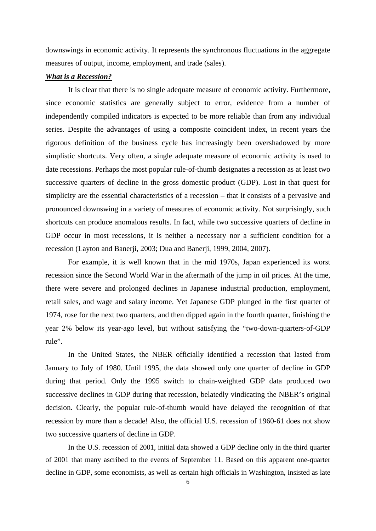downswings in economic activity. It represents the synchronous fluctuations in the aggregate measures of output, income, employment, and trade (sales).

#### *What is a Recession?*

It is clear that there is no single adequate measure of economic activity. Furthermore, since economic statistics are generally subject to error, evidence from a number of independently compiled indicators is expected to be more reliable than from any individual series. Despite the advantages of using a composite coincident index, in recent years the rigorous definition of the business cycle has increasingly been overshadowed by more simplistic shortcuts. Very often, a single adequate measure of economic activity is used to date recessions. Perhaps the most popular rule-of-thumb designates a recession as at least two successive quarters of decline in the gross domestic product (GDP). Lost in that quest for simplicity are the essential characteristics of a recession – that it consists of a pervasive and pronounced downswing in a variety of measures of economic activity. Not surprisingly, such shortcuts can produce anomalous results. In fact, while two successive quarters of decline in GDP occur in most recessions, it is neither a necessary nor a sufficient condition for a recession (Layton and Banerji, 2003; Dua and Banerji, 1999, 2004, 2007).

For example, it is well known that in the mid 1970s, Japan experienced its worst recession since the Second World War in the aftermath of the jump in oil prices. At the time, there were severe and prolonged declines in Japanese industrial production, employment, retail sales, and wage and salary income. Yet Japanese GDP plunged in the first quarter of 1974, rose for the next two quarters, and then dipped again in the fourth quarter, finishing the year 2% below its year-ago level, but without satisfying the "two-down-quarters-of-GDP rule".

In the United States, the NBER officially identified a recession that lasted from January to July of 1980. Until 1995, the data showed only one quarter of decline in GDP during that period. Only the 1995 switch to chain-weighted GDP data produced two successive declines in GDP during that recession, belatedly vindicating the NBER's original decision. Clearly, the popular rule-of-thumb would have delayed the recognition of that recession by more than a decade! Also, the official U.S. recession of 1960-61 does not show two successive quarters of decline in GDP.

In the U.S. recession of 2001, initial data showed a GDP decline only in the third quarter of 2001 that many ascribed to the events of September 11. Based on this apparent one-quarter decline in GDP, some economists, as well as certain high officials in Washington, insisted as late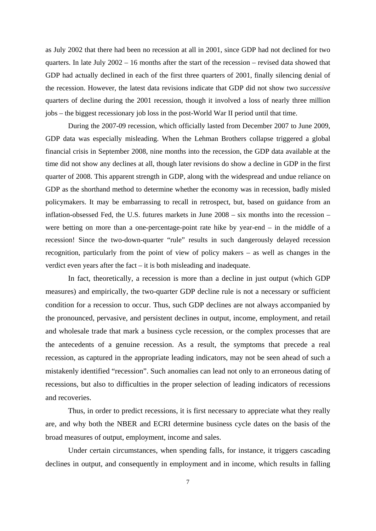as July 2002 that there had been no recession at all in 2001, since GDP had not declined for two quarters. In late July 2002 – 16 months after the start of the recession – revised data showed that GDP had actually declined in each of the first three quarters of 2001, finally silencing denial of the recession. However, the latest data revisions indicate that GDP did not show two *successive* quarters of decline during the 2001 recession, though it involved a loss of nearly three million jobs – the biggest recessionary job loss in the post-World War II period until that time.

During the 2007-09 recession, which officially lasted from December 2007 to June 2009, GDP data was especially misleading. When the Lehman Brothers collapse triggered a global financial crisis in September 2008, nine months into the recession, the GDP data available at the time did not show any declines at all, though later revisions do show a decline in GDP in the first quarter of 2008. This apparent strength in GDP, along with the widespread and undue reliance on GDP as the shorthand method to determine whether the economy was in recession, badly misled policymakers. It may be embarrassing to recall in retrospect, but, based on guidance from an inflation-obsessed Fed, the U.S. futures markets in June 2008 – six months into the recession – were betting on more than a one-percentage-point rate hike by year-end – in the middle of a recession! Since the two-down-quarter "rule" results in such dangerously delayed recession recognition, particularly from the point of view of policy makers – as well as changes in the verdict even years after the fact – it is both misleading and inadequate.

In fact, theoretically, a recession is more than a decline in just output (which GDP measures) and empirically, the two-quarter GDP decline rule is not a necessary or sufficient condition for a recession to occur. Thus, such GDP declines are not always accompanied by the pronounced, pervasive, and persistent declines in output, income, employment, and retail and wholesale trade that mark a business cycle recession, or the complex processes that are the antecedents of a genuine recession. As a result, the symptoms that precede a real recession, as captured in the appropriate leading indicators, may not be seen ahead of such a mistakenly identified "recession". Such anomalies can lead not only to an erroneous dating of recessions, but also to difficulties in the proper selection of leading indicators of recessions and recoveries.

Thus, in order to predict recessions, it is first necessary to appreciate what they really are, and why both the NBER and ECRI determine business cycle dates on the basis of the broad measures of output, employment, income and sales.

Under certain circumstances, when spending falls, for instance, it triggers cascading declines in output, and consequently in employment and in income, which results in falling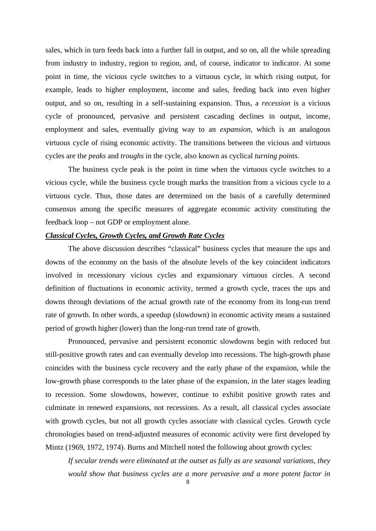sales, which in turn feeds back into a further fall in output, and so on, all the while spreading from industry to industry, region to region, and, of course, indicator to indicator. At some point in time, the vicious cycle switches to a virtuous cycle, in which rising output, for example, leads to higher employment, income and sales, feeding back into even higher output, and so on, resulting in a self-sustaining expansion. Thus, a *recession* is a vicious cycle of pronounced, pervasive and persistent cascading declines in output, income, employment and sales, eventually giving way to an *expansion*, which is an analogous virtuous cycle of rising economic activity. The transitions between the vicious and virtuous cycles are the *peaks* and *troughs* in the cycle, also known as cyclical *turning points*.

The business cycle peak is the point in time when the virtuous cycle switches to a vicious cycle, while the business cycle trough marks the transition from a vicious cycle to a virtuous cycle. Thus, those dates are determined on the basis of a carefully determined consensus among the specific measures of aggregate economic activity constituting the feedback loop – not GDP or employment alone.

#### *Classical Cycles, Growth Cycles, and Growth Rate Cycles*

The above discussion describes "classical" business cycles that measure the ups and downs of the economy on the basis of the absolute levels of the key coincident indicators involved in recessionary vicious cycles and expansionary virtuous circles. A second definition of fluctuations in economic activity, termed a growth cycle, traces the ups and downs through deviations of the actual growth rate of the economy from its long-run trend rate of growth. In other words, a speedup (slowdown) in economic activity means a sustained period of growth higher (lower) than the long-run trend rate of growth.

Pronounced, pervasive and persistent economic slowdowns begin with reduced but still-positive growth rates and can eventually develop into recessions. The high-growth phase coincides with the business cycle recovery and the early phase of the expansion, while the low-growth phase corresponds to the later phase of the expansion, in the later stages leading to recession. Some slowdowns, however, continue to exhibit positive growth rates and culminate in renewed expansions, not recessions. As a result, all classical cycles associate with growth cycles, but not all growth cycles associate with classical cycles. Growth cycle chronologies based on trend-adjusted measures of economic activity were first developed by Mintz (1969, 1972, 1974). Burns and Mitchell noted the following about growth cycles:

*If secular trends were eliminated at the outset as fully as are seasonal variations, they would show that business cycles are a more pervasive and a more potent factor in*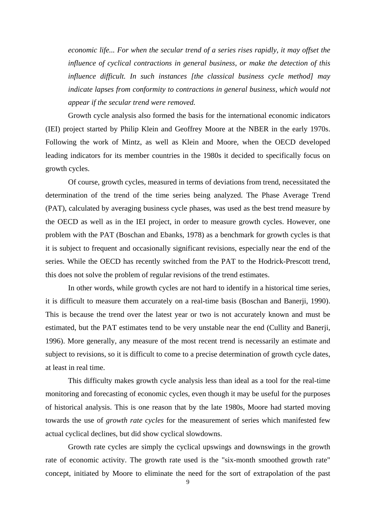*economic life... For when the secular trend of a series rises rapidly, it may offset the influence of cyclical contractions in general business, or make the detection of this influence difficult. In such instances [the classical business cycle method] may indicate lapses from conformity to contractions in general business, which would not appear if the secular trend were removed.*

Growth cycle analysis also formed the basis for the international economic indicators (IEI) project started by Philip Klein and Geoffrey Moore at the NBER in the early 1970s. Following the work of Mintz, as well as Klein and Moore, when the OECD developed leading indicators for its member countries in the 1980s it decided to specifically focus on growth cycles.

Of course, growth cycles, measured in terms of deviations from trend, necessitated the determination of the trend of the time series being analyzed. The Phase Average Trend (PAT), calculated by averaging business cycle phases, was used as the best trend measure by the OECD as well as in the IEI project, in order to measure growth cycles. However, one problem with the PAT (Boschan and Ebanks, 1978) as a benchmark for growth cycles is that it is subject to frequent and occasionally significant revisions, especially near the end of the series. While the OECD has recently switched from the PAT to the Hodrick-Prescott trend, this does not solve the problem of regular revisions of the trend estimates.

In other words, while growth cycles are not hard to identify in a historical time series, it is difficult to measure them accurately on a real-time basis (Boschan and Banerji, 1990). This is because the trend over the latest year or two is not accurately known and must be estimated, but the PAT estimates tend to be very unstable near the end (Cullity and Banerji, 1996). More generally, any measure of the most recent trend is necessarily an estimate and subject to revisions, so it is difficult to come to a precise determination of growth cycle dates, at least in real time.

This difficulty makes growth cycle analysis less than ideal as a tool for the real-time monitoring and forecasting of economic cycles, even though it may be useful for the purposes of historical analysis. This is one reason that by the late 1980s, Moore had started moving towards the use of *growth rate cycles* for the measurement of series which manifested few actual cyclical declines, but did show cyclical slowdowns.

Growth rate cycles are simply the cyclical upswings and downswings in the growth rate of economic activity. The growth rate used is the "six-month smoothed growth rate" concept, initiated by Moore to eliminate the need for the sort of extrapolation of the past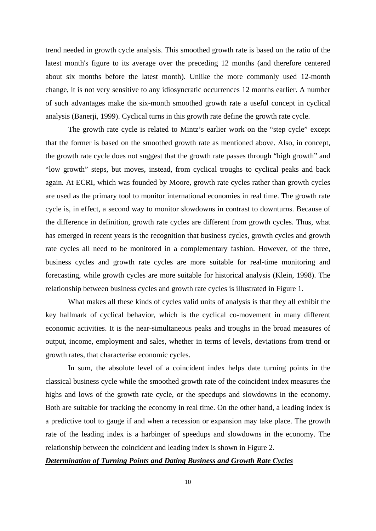trend needed in growth cycle analysis. This smoothed growth rate is based on the ratio of the latest month's figure to its average over the preceding 12 months (and therefore centered about six months before the latest month). Unlike the more commonly used 12-month change, it is not very sensitive to any idiosyncratic occurrences 12 months earlier. A number of such advantages make the six-month smoothed growth rate a useful concept in cyclical analysis (Banerji, 1999). Cyclical turns in this growth rate define the growth rate cycle.

The growth rate cycle is related to Mintz's earlier work on the "step cycle" except that the former is based on the smoothed growth rate as mentioned above. Also, in concept, the growth rate cycle does not suggest that the growth rate passes through "high growth" and "low growth" steps, but moves, instead, from cyclical troughs to cyclical peaks and back again. At ECRI, which was founded by Moore, growth rate cycles rather than growth cycles are used as the primary tool to monitor international economies in real time. The growth rate cycle is, in effect, a second way to monitor slowdowns in contrast to downturns. Because of the difference in definition, growth rate cycles are different from growth cycles. Thus, what has emerged in recent years is the recognition that business cycles, growth cycles and growth rate cycles all need to be monitored in a complementary fashion. However, of the three, business cycles and growth rate cycles are more suitable for real-time monitoring and forecasting, while growth cycles are more suitable for historical analysis (Klein, 1998). The relationship between business cycles and growth rate cycles is illustrated in Figure 1.

What makes all these kinds of cycles valid units of analysis is that they all exhibit the key hallmark of cyclical behavior, which is the cyclical co-movement in many different economic activities. It is the near-simultaneous peaks and troughs in the broad measures of output, income, employment and sales, whether in terms of levels, deviations from trend or growth rates, that characterise economic cycles.

In sum, the absolute level of a coincident index helps date turning points in the classical business cycle while the smoothed growth rate of the coincident index measures the highs and lows of the growth rate cycle, or the speedups and slowdowns in the economy. Both are suitable for tracking the economy in real time. On the other hand, a leading index is a predictive tool to gauge if and when a recession or expansion may take place. The growth rate of the leading index is a harbinger of speedups and slowdowns in the economy. The relationship between the coincident and leading index is shown in Figure 2.

#### *Determination of Turning Points and Dating Business and Growth Rate Cycles*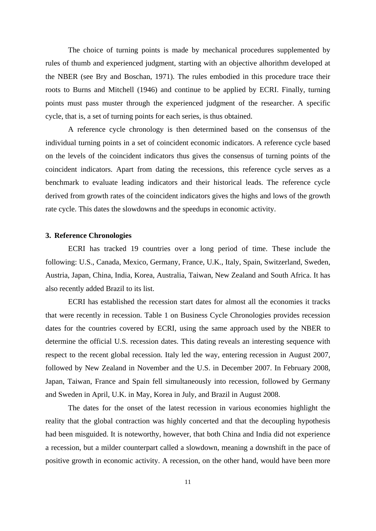The choice of turning points is made by mechanical procedures supplemented by rules of thumb and experienced judgment, starting with an objective alhorithm developed at the NBER (see Bry and Boschan, 1971). The rules embodied in this procedure trace their roots to Burns and Mitchell (1946) and continue to be applied by ECRI. Finally, turning points must pass muster through the experienced judgment of the researcher. A specific cycle, that is, a set of turning points for each series, is thus obtained.

A reference cycle chronology is then determined based on the consensus of the individual turning points in a set of coincident economic indicators. A reference cycle based on the levels of the coincident indicators thus gives the consensus of turning points of the coincident indicators. Apart from dating the recessions, this reference cycle serves as a benchmark to evaluate leading indicators and their historical leads. The reference cycle derived from growth rates of the coincident indicators gives the highs and lows of the growth rate cycle. This dates the slowdowns and the speedups in economic activity.

#### **3. Reference Chronologies**

ECRI has tracked 19 countries over a long period of time. These include the following: U.S., Canada, Mexico, Germany, France, U.K., Italy, Spain, Switzerland, Sweden, Austria, Japan, China, India, Korea, Australia, Taiwan, New Zealand and South Africa. It has also recently added Brazil to its list.

ECRI has established the recession start dates for almost all the economies it tracks that were recently in recession. Table 1 on Business Cycle Chronologies provides recession dates for the countries covered by ECRI, using the same approach used by the NBER to determine the official U.S. recession dates. This dating reveals an interesting sequence with respect to the recent global recession. Italy led the way, entering recession in August 2007, followed by New Zealand in November and the U.S. in December 2007. In February 2008, Japan, Taiwan, France and Spain fell simultaneously into recession, followed by Germany and Sweden in April, U.K. in May, Korea in July, and Brazil in August 2008.

The dates for the onset of the latest recession in various economies highlight the reality that the global contraction was highly concerted and that the decoupling hypothesis had been misguided. It is noteworthy, however, that both China and India did not experience a recession, but a milder counterpart called a slowdown, meaning a downshift in the pace of positive growth in economic activity. A recession, on the other hand, would have been more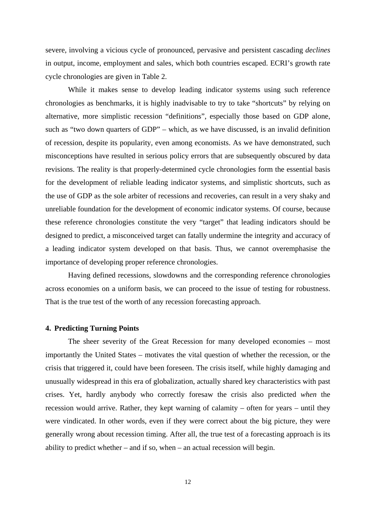severe, involving a vicious cycle of pronounced, pervasive and persistent cascading *declines* in output, income, employment and sales, which both countries escaped. ECRI's growth rate cycle chronologies are given in Table 2.

While it makes sense to develop leading indicator systems using such reference chronologies as benchmarks, it is highly inadvisable to try to take "shortcuts" by relying on alternative, more simplistic recession "definitions", especially those based on GDP alone, such as "two down quarters of GDP" – which, as we have discussed, is an invalid definition of recession, despite its popularity, even among economists. As we have demonstrated, such misconceptions have resulted in serious policy errors that are subsequently obscured by data revisions. The reality is that properly-determined cycle chronologies form the essential basis for the development of reliable leading indicator systems, and simplistic shortcuts, such as the use of GDP as the sole arbiter of recessions and recoveries, can result in a very shaky and unreliable foundation for the development of economic indicator systems. Of course, because these reference chronologies constitute the very "target" that leading indicators should be designed to predict, a misconceived target can fatally undermine the integrity and accuracy of a leading indicator system developed on that basis. Thus, we cannot overemphasise the importance of developing proper reference chronologies.

Having defined recessions, slowdowns and the corresponding reference chronologies across economies on a uniform basis, we can proceed to the issue of testing for robustness. That is the true test of the worth of any recession forecasting approach.

#### **4. Predicting Turning Points**

The sheer severity of the Great Recession for many developed economies – most importantly the United States – motivates the vital question of whether the recession, or the crisis that triggered it, could have been foreseen. The crisis itself, while highly damaging and unusually widespread in this era of globalization, actually shared key characteristics with past crises. Yet, hardly anybody who correctly foresaw the crisis also predicted *when* the recession would arrive. Rather, they kept warning of calamity – often for years – until they were vindicated. In other words, even if they were correct about the big picture, they were generally wrong about recession timing. After all, the true test of a forecasting approach is its ability to predict whether – and if so, when – an actual recession will begin.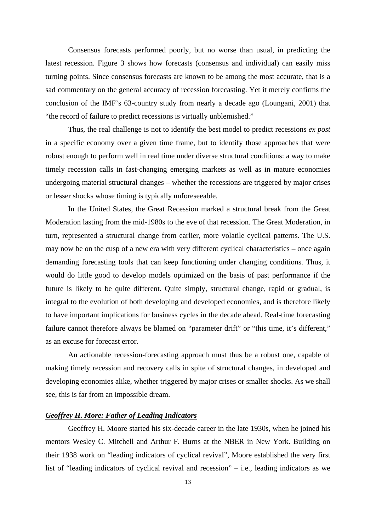Consensus forecasts performed poorly, but no worse than usual, in predicting the latest recession. Figure 3 shows how forecasts (consensus and individual) can easily miss turning points. Since consensus forecasts are known to be among the most accurate, that is a sad commentary on the general accuracy of recession forecasting. Yet it merely confirms the conclusion of the IMF's 63-country study from nearly a decade ago (Loungani, 2001) that "the record of failure to predict recessions is virtually unblemished."

Thus, the real challenge is not to identify the best model to predict recessions *ex post* in a specific economy over a given time frame, but to identify those approaches that were robust enough to perform well in real time under diverse structural conditions: a way to make timely recession calls in fast-changing emerging markets as well as in mature economies undergoing material structural changes – whether the recessions are triggered by major crises or lesser shocks whose timing is typically unforeseeable.

In the United States, the Great Recession marked a structural break from the Great Moderation lasting from the mid-1980s to the eve of that recession. The Great Moderation, in turn, represented a structural change from earlier, more volatile cyclical patterns. The U.S. may now be on the cusp of a new era with very different cyclical characteristics – once again demanding forecasting tools that can keep functioning under changing conditions. Thus, it would do little good to develop models optimized on the basis of past performance if the future is likely to be quite different. Quite simply, structural change, rapid or gradual, is integral to the evolution of both developing and developed economies, and is therefore likely to have important implications for business cycles in the decade ahead. Real-time forecasting failure cannot therefore always be blamed on "parameter drift" or "this time, it's different," as an excuse for forecast error.

An actionable recession-forecasting approach must thus be a robust one, capable of making timely recession and recovery calls in spite of structural changes, in developed and developing economies alike, whether triggered by major crises or smaller shocks. As we shall see, this is far from an impossible dream.

#### *Geoffrey H. More: Father of Leading Indicators*

Geoffrey H. Moore started his six-decade career in the late 1930s, when he joined his mentors Wesley C. Mitchell and Arthur F. Burns at the NBER in New York. Building on their 1938 work on "leading indicators of cyclical revival", Moore established the very first list of "leading indicators of cyclical revival and recession" – i.e., leading indicators as we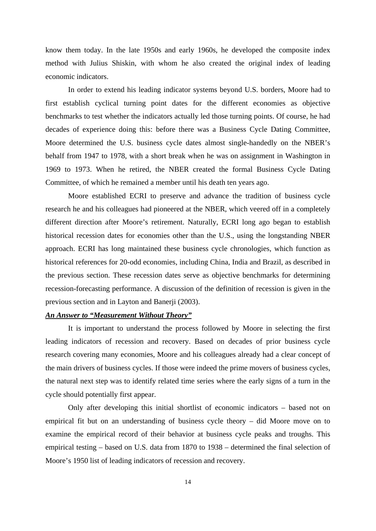know them today. In the late 1950s and early 1960s, he developed the composite index method with Julius Shiskin, with whom he also created the original index of leading economic indicators.

In order to extend his leading indicator systems beyond U.S. borders, Moore had to first establish cyclical turning point dates for the different economies as objective benchmarks to test whether the indicators actually led those turning points. Of course, he had decades of experience doing this: before there was a Business Cycle Dating Committee, Moore determined the U.S. business cycle dates almost single-handedly on the NBER's behalf from 1947 to 1978, with a short break when he was on assignment in Washington in 1969 to 1973. When he retired, the NBER created the formal Business Cycle Dating Committee, of which he remained a member until his death ten years ago.

Moore established ECRI to preserve and advance the tradition of business cycle research he and his colleagues had pioneered at the NBER, which veered off in a completely different direction after Moore's retirement. Naturally, ECRI long ago began to establish historical recession dates for economies other than the U.S., using the longstanding NBER approach. ECRI has long maintained these business cycle chronologies, which function as historical references for 20-odd economies, including China, India and Brazil, as described in the previous section. These recession dates serve as objective benchmarks for determining recession-forecasting performance. A discussion of the definition of recession is given in the previous section and in Layton and Banerji (2003).

#### *An Answer to "Measurement Without Theory"*

It is important to understand the process followed by Moore in selecting the first leading indicators of recession and recovery. Based on decades of prior business cycle research covering many economies, Moore and his colleagues already had a clear concept of the main drivers of business cycles. If those were indeed the prime movers of business cycles, the natural next step was to identify related time series where the early signs of a turn in the cycle should potentially first appear.

Only after developing this initial shortlist of economic indicators – based not on empirical fit but on an understanding of business cycle theory – did Moore move on to examine the empirical record of their behavior at business cycle peaks and troughs. This empirical testing – based on U.S. data from 1870 to 1938 – determined the final selection of Moore's 1950 list of leading indicators of recession and recovery.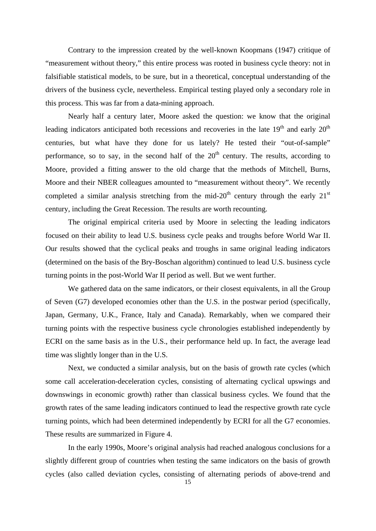Contrary to the impression created by the well-known Koopmans (1947) critique of "measurement without theory," this entire process was rooted in business cycle theory: not in falsifiable statistical models, to be sure, but in a theoretical, conceptual understanding of the drivers of the business cycle, nevertheless. Empirical testing played only a secondary role in this process. This was far from a data-mining approach.

Nearly half a century later, Moore asked the question: we know that the original leading indicators anticipated both recessions and recoveries in the late  $19<sup>th</sup>$  and early  $20<sup>th</sup>$ centuries, but what have they done for us lately? He tested their "out-of-sample" performance, so to say, in the second half of the  $20<sup>th</sup>$  century. The results, according to Moore, provided a fitting answer to the old charge that the methods of Mitchell, Burns, Moore and their NBER colleagues amounted to "measurement without theory". We recently completed a similar analysis stretching from the mid-20<sup>th</sup> century through the early  $21<sup>st</sup>$ century, including the Great Recession. The results are worth recounting.

The original empirical criteria used by Moore in selecting the leading indicators focused on their ability to lead U.S. business cycle peaks and troughs before World War II. Our results showed that the cyclical peaks and troughs in same original leading indicators (determined on the basis of the Bry-Boschan algorithm) continued to lead U.S. business cycle turning points in the post-World War II period as well. But we went further.

We gathered data on the same indicators, or their closest equivalents, in all the Group of Seven (G7) developed economies other than the U.S. in the postwar period (specifically, Japan, Germany, U.K., France, Italy and Canada). Remarkably, when we compared their turning points with the respective business cycle chronologies established independently by ECRI on the same basis as in the U.S., their performance held up. In fact, the average lead time was slightly longer than in the U.S.

Next, we conducted a similar analysis, but on the basis of growth rate cycles (which some call acceleration-deceleration cycles, consisting of alternating cyclical upswings and downswings in economic growth) rather than classical business cycles. We found that the growth rates of the same leading indicators continued to lead the respective growth rate cycle turning points, which had been determined independently by ECRI for all the G7 economies. These results are summarized in Figure 4.

In the early 1990s, Moore's original analysis had reached analogous conclusions for a slightly different group of countries when testing the same indicators on the basis of growth cycles (also called deviation cycles, consisting of alternating periods of above-trend and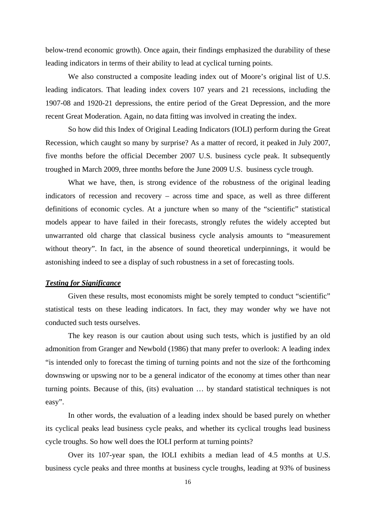below-trend economic growth). Once again, their findings emphasized the durability of these leading indicators in terms of their ability to lead at cyclical turning points.

We also constructed a composite leading index out of Moore's original list of U.S. leading indicators. That leading index covers 107 years and 21 recessions, including the 1907-08 and 1920-21 depressions, the entire period of the Great Depression, and the more recent Great Moderation. Again, no data fitting was involved in creating the index.

So how did this Index of Original Leading Indicators (IOLI) perform during the Great Recession, which caught so many by surprise? As a matter of record, it peaked in July 2007, five months before the official December 2007 U.S. business cycle peak. It subsequently troughed in March 2009, three months before the June 2009 U.S. business cycle trough.

What we have, then, is strong evidence of the robustness of the original leading indicators of recession and recovery – across time and space, as well as three different definitions of economic cycles. At a juncture when so many of the "scientific" statistical models appear to have failed in their forecasts, strongly refutes the widely accepted but unwarranted old charge that classical business cycle analysis amounts to "measurement without theory". In fact, in the absence of sound theoretical underpinnings, it would be astonishing indeed to see a display of such robustness in a set of forecasting tools.

#### *Testing for Significance*

Given these results, most economists might be sorely tempted to conduct "scientific" statistical tests on these leading indicators. In fact, they may wonder why we have not conducted such tests ourselves.

The key reason is our caution about using such tests, which is justified by an old admonition from Granger and Newbold (1986) that many prefer to overlook: A leading index "is intended only to forecast the timing of turning points and not the size of the forthcoming downswing or upswing nor to be a general indicator of the economy at times other than near turning points. Because of this, (its) evaluation … by standard statistical techniques is not easy".

In other words, the evaluation of a leading index should be based purely on whether its cyclical peaks lead business cycle peaks, and whether its cyclical troughs lead business cycle troughs. So how well does the IOLI perform at turning points?

Over its 107-year span, the IOLI exhibits a median lead of 4.5 months at U.S. business cycle peaks and three months at business cycle troughs, leading at 93% of business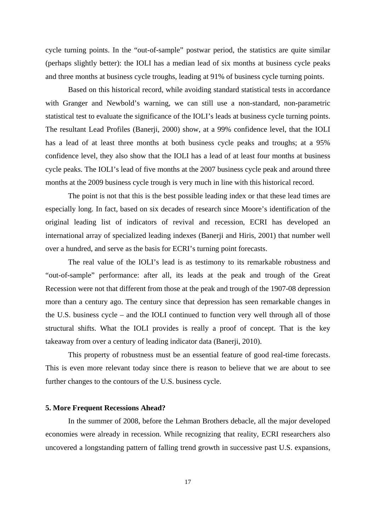cycle turning points. In the "out-of-sample" postwar period, the statistics are quite similar (perhaps slightly better): the IOLI has a median lead of six months at business cycle peaks and three months at business cycle troughs, leading at 91% of business cycle turning points.

Based on this historical record, while avoiding standard statistical tests in accordance with Granger and Newbold's warning, we can still use a non-standard, non-parametric statistical test to evaluate the significance of the IOLI's leads at business cycle turning points. The resultant Lead Profiles (Banerji, 2000) show, at a 99% confidence level, that the IOLI has a lead of at least three months at both business cycle peaks and troughs; at a 95% confidence level, they also show that the IOLI has a lead of at least four months at business cycle peaks. The IOLI's lead of five months at the 2007 business cycle peak and around three months at the 2009 business cycle trough is very much in line with this historical record.

The point is not that this is the best possible leading index or that these lead times are especially long. In fact, based on six decades of research since Moore's identification of the original leading list of indicators of revival and recession, ECRI has developed an international array of specialized leading indexes (Banerji and Hiris, 2001) that number well over a hundred, and serve as the basis for ECRI's turning point forecasts.

The real value of the IOLI's lead is as testimony to its remarkable robustness and "out-of-sample" performance: after all, its leads at the peak and trough of the Great Recession were not that different from those at the peak and trough of the 1907-08 depression more than a century ago. The century since that depression has seen remarkable changes in the U.S. business cycle – and the IOLI continued to function very well through all of those structural shifts. What the IOLI provides is really a proof of concept. That is the key takeaway from over a century of leading indicator data (Banerji, 2010).

This property of robustness must be an essential feature of good real-time forecasts. This is even more relevant today since there is reason to believe that we are about to see further changes to the contours of the U.S. business cycle.

#### **5. More Frequent Recessions Ahead?**

In the summer of 2008, before the Lehman Brothers debacle, all the major developed economies were already in recession. While recognizing that reality, ECRI researchers also uncovered a longstanding pattern of falling trend growth in successive past U.S. expansions,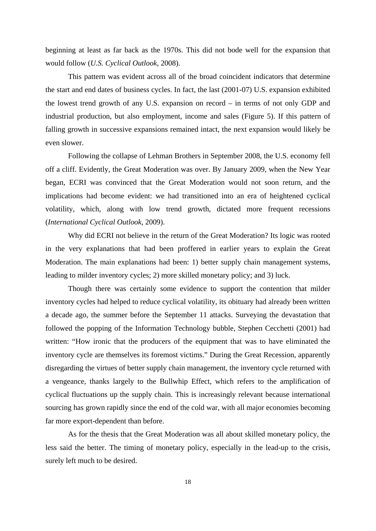beginning at least as far back as the 1970s. This did not bode well for the expansion that would follow (*U.S. Cyclical Outlook*, 2008).

This pattern was evident across all of the broad coincident indicators that determine the start and end dates of business cycles. In fact, the last (2001-07) U.S. expansion exhibited the lowest trend growth of any U.S. expansion on record – in terms of not only GDP and industrial production, but also employment, income and sales (Figure 5). If this pattern of falling growth in successive expansions remained intact, the next expansion would likely be even slower.

Following the collapse of Lehman Brothers in September 2008, the U.S. economy fell off a cliff. Evidently, the Great Moderation was over. By January 2009, when the New Year began, ECRI was convinced that the Great Moderation would not soon return, and the implications had become evident: we had transitioned into an era of heightened cyclical volatility, which, along with low trend growth, dictated more frequent recessions (*International Cyclical Outlook*, 2009).

Why did ECRI not believe in the return of the Great Moderation? Its logic was rooted in the very explanations that had been proffered in earlier years to explain the Great Moderation. The main explanations had been: 1) better supply chain management systems, leading to milder inventory cycles; 2) more skilled monetary policy; and 3) luck.

Though there was certainly some evidence to support the contention that milder inventory cycles had helped to reduce cyclical volatility, its obituary had already been written a decade ago, the summer before the September 11 attacks. Surveying the devastation that followed the popping of the Information Technology bubble, Stephen Cecchetti (2001) had written: "How ironic that the producers of the equipment that was to have eliminated the inventory cycle are themselves its foremost victims." During the Great Recession, apparently disregarding the virtues of better supply chain management, the inventory cycle returned with a vengeance, thanks largely to the Bullwhip Effect, which refers to the amplification of cyclical fluctuations up the supply chain. This is increasingly relevant because international sourcing has grown rapidly since the end of the cold war, with all major economies becoming far more export-dependent than before.

As for the thesis that the Great Moderation was all about skilled monetary policy, the less said the better. The timing of monetary policy, especially in the lead-up to the crisis, surely left much to be desired.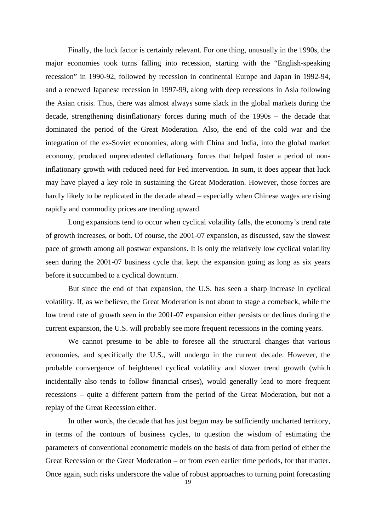Finally, the luck factor is certainly relevant. For one thing, unusually in the 1990s, the major economies took turns falling into recession, starting with the "English-speaking recession" in 1990-92, followed by recession in continental Europe and Japan in 1992-94, and a renewed Japanese recession in 1997-99, along with deep recessions in Asia following the Asian crisis. Thus, there was almost always some slack in the global markets during the decade, strengthening disinflationary forces during much of the 1990s – the decade that dominated the period of the Great Moderation. Also, the end of the cold war and the integration of the ex-Soviet economies, along with China and India, into the global market economy, produced unprecedented deflationary forces that helped foster a period of noninflationary growth with reduced need for Fed intervention. In sum, it does appear that luck may have played a key role in sustaining the Great Moderation. However, those forces are hardly likely to be replicated in the decade ahead – especially when Chinese wages are rising rapidly and commodity prices are trending upward.

Long expansions tend to occur when cyclical volatility falls, the economy's trend rate of growth increases, or both. Of course, the 2001-07 expansion, as discussed, saw the slowest pace of growth among all postwar expansions. It is only the relatively low cyclical volatility seen during the 2001-07 business cycle that kept the expansion going as long as six years before it succumbed to a cyclical downturn.

But since the end of that expansion, the U.S. has seen a sharp increase in cyclical volatility. If, as we believe, the Great Moderation is not about to stage a comeback, while the low trend rate of growth seen in the 2001-07 expansion either persists or declines during the current expansion, the U.S. will probably see more frequent recessions in the coming years.

We cannot presume to be able to foresee all the structural changes that various economies, and specifically the U.S., will undergo in the current decade. However, the probable convergence of heightened cyclical volatility and slower trend growth (which incidentally also tends to follow financial crises), would generally lead to more frequent recessions – quite a different pattern from the period of the Great Moderation, but not a replay of the Great Recession either.

In other words, the decade that has just begun may be sufficiently uncharted territory, in terms of the contours of business cycles, to question the wisdom of estimating the parameters of conventional econometric models on the basis of data from period of either the Great Recession or the Great Moderation – or from even earlier time periods, for that matter. Once again, such risks underscore the value of robust approaches to turning point forecasting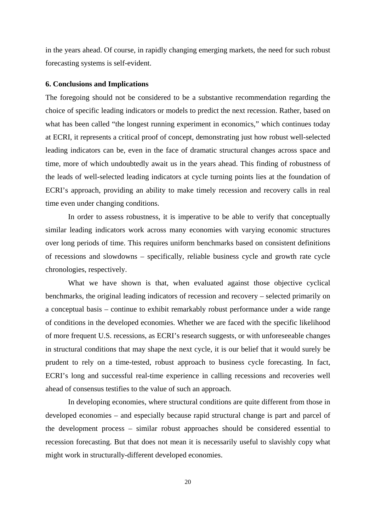in the years ahead. Of course, in rapidly changing emerging markets, the need for such robust forecasting systems is self-evident.

#### **6. Conclusions and Implications**

The foregoing should not be considered to be a substantive recommendation regarding the choice of specific leading indicators or models to predict the next recession. Rather, based on what has been called "the longest running experiment in economics," which continues today at ECRI, it represents a critical proof of concept, demonstrating just how robust well-selected leading indicators can be, even in the face of dramatic structural changes across space and time, more of which undoubtedly await us in the years ahead. This finding of robustness of the leads of well-selected leading indicators at cycle turning points lies at the foundation of ECRI's approach, providing an ability to make timely recession and recovery calls in real time even under changing conditions.

In order to assess robustness, it is imperative to be able to verify that conceptually similar leading indicators work across many economies with varying economic structures over long periods of time. This requires uniform benchmarks based on consistent definitions of recessions and slowdowns – specifically, reliable business cycle and growth rate cycle chronologies, respectively.

What we have shown is that, when evaluated against those objective cyclical benchmarks, the original leading indicators of recession and recovery – selected primarily on a conceptual basis – continue to exhibit remarkably robust performance under a wide range of conditions in the developed economies. Whether we are faced with the specific likelihood of more frequent U.S. recessions, as ECRI's research suggests, or with unforeseeable changes in structural conditions that may shape the next cycle, it is our belief that it would surely be prudent to rely on a time-tested, robust approach to business cycle forecasting. In fact, ECRI's long and successful real-time experience in calling recessions and recoveries well ahead of consensus testifies to the value of such an approach.

In developing economies, where structural conditions are quite different from those in developed economies – and especially because rapid structural change is part and parcel of the development process – similar robust approaches should be considered essential to recession forecasting. But that does not mean it is necessarily useful to slavishly copy what might work in structurally-different developed economies.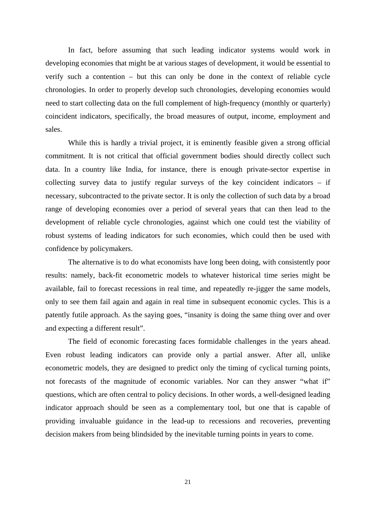In fact, before assuming that such leading indicator systems would work in developing economies that might be at various stages of development, it would be essential to verify such a contention – but this can only be done in the context of reliable cycle chronologies. In order to properly develop such chronologies, developing economies would need to start collecting data on the full complement of high-frequency (monthly or quarterly) coincident indicators, specifically, the broad measures of output, income, employment and sales.

While this is hardly a trivial project, it is eminently feasible given a strong official commitment. It is not critical that official government bodies should directly collect such data. In a country like India, for instance, there is enough private-sector expertise in collecting survey data to justify regular surveys of the key coincident indicators – if necessary, subcontracted to the private sector. It is only the collection of such data by a broad range of developing economies over a period of several years that can then lead to the development of reliable cycle chronologies, against which one could test the viability of robust systems of leading indicators for such economies, which could then be used with confidence by policymakers.

The alternative is to do what economists have long been doing, with consistently poor results: namely, back-fit econometric models to whatever historical time series might be available, fail to forecast recessions in real time, and repeatedly re-jigger the same models, only to see them fail again and again in real time in subsequent economic cycles. This is a patently futile approach. As the saying goes, "insanity is doing the same thing over and over and expecting a different result".

The field of economic forecasting faces formidable challenges in the years ahead. Even robust leading indicators can provide only a partial answer. After all, unlike econometric models, they are designed to predict only the timing of cyclical turning points, not forecasts of the magnitude of economic variables. Nor can they answer "what if" questions, which are often central to policy decisions. In other words, a well-designed leading indicator approach should be seen as a complementary tool, but one that is capable of providing invaluable guidance in the lead-up to recessions and recoveries, preventing decision makers from being blindsided by the inevitable turning points in years to come.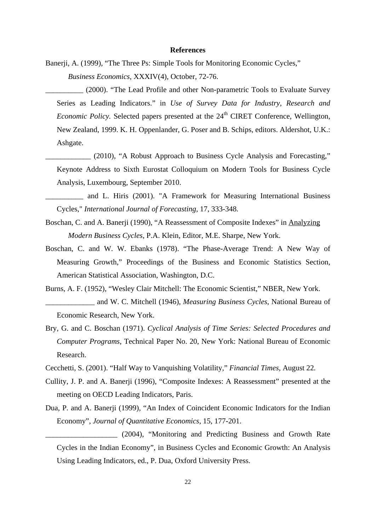#### **References**

Banerji, A. (1999), "The Three Ps: Simple Tools for Monitoring Economic Cycles," *Business Economics*, XXXIV(4), October, 72-76.

\_\_\_\_\_\_\_\_\_\_ (2000). "The Lead Profile and other Non-parametric Tools to Evaluate Survey Series as Leading Indicators." in *Use of Survey Data for Industry, Research and Economic Policy.* Selected papers presented at the 24<sup>th</sup> CIRET Conference, Wellington, New Zealand, 1999. K. H. Oppenlander, G. Poser and B. Schips, editors. Aldershot, U.K.: Ashgate.

- (2010), "A Robust Approach to Business Cycle Analysis and Forecasting," Keynote Address to Sixth Eurostat Colloquium on Modern Tools for Business Cycle Analysis, Luxembourg, September 2010.
- \_\_\_\_\_\_\_\_\_\_ and L. Hiris (2001). "A Framework for Measuring International Business Cycles," *International Journal of Forecasting,* 17, 333-348.
- Boschan, C. and A. Banerji (1990), "A Reassessment of Composite Indexes" in Analyzing *Modern Business Cycles*, P.A. Klein, Editor, M.E. Sharpe, New York.
- Boschan, C. and W. W. Ebanks (1978). "The Phase-Average Trend: A New Way of Measuring Growth," Proceedings of the Business and Economic Statistics Section, American Statistical Association, Washington, D.C.
- Burns, A. F. (1952), "Wesley Clair Mitchell: The Economic Scientist," NBER, New York. \_\_\_\_\_\_\_\_\_\_\_\_\_ and W. C. Mitchell (1946), *Measuring Business Cycles*, National Bureau of Economic Research, New York.
- Bry, G. and C. Boschan (1971). *Cyclical Analysis of Time Series: Selected Procedures and Computer Programs*, Technical Paper No. 20, New York: National Bureau of Economic Research.
- Cecchetti, S. (2001). "Half Way to Vanquishing Volatility," *Financial Times*, August 22*.*
- Cullity, J. P. and A. Banerji (1996), "Composite Indexes: A Reassessment" presented at the meeting on OECD Leading Indicators, Paris.
- Dua, P. and A. Banerji (1999), "An Index of Coincident Economic Indicators for the Indian Economy", *Journal of Quantitative Economics*, 15, 177-201.

\_\_\_\_\_\_\_\_\_\_\_\_\_\_\_\_\_\_\_ (2004), "Monitoring and Predicting Business and Growth Rate Cycles in the Indian Economy", in Business Cycles and Economic Growth: An Analysis Using Leading Indicators*,* ed., P. Dua, Oxford University Press.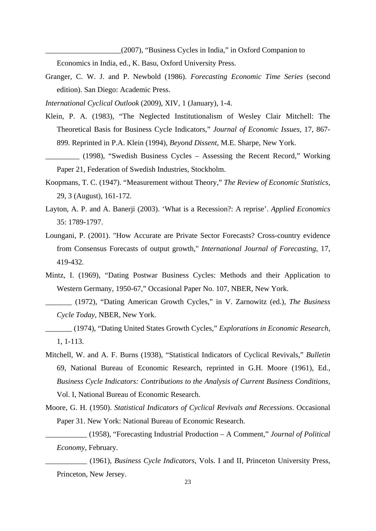\_\_\_\_\_\_\_\_\_\_\_\_\_\_\_\_\_\_\_\_(2007), "Business Cycles in India," in Oxford Companion to

Economics in India, ed., K. Basu, Oxford University Press.

Granger, C. W. J. and P. Newbold (1986). *Forecasting Economic Time Series* (second edition). San Diego: Academic Press.

*International Cyclical Outlook* (2009), XIV, 1 (January), 1-4.

- Klein, P. A. (1983), "The Neglected Institutionalism of Wesley Clair Mitchell: The Theoretical Basis for Business Cycle Indicators," *Journal of Economic Issues*, 17, 867- 899. Reprinted in P.A. Klein (1994), *Beyond Dissent*, M.E. Sharpe, New York.
- \_\_\_\_\_\_\_\_\_ (1998), "Swedish Business Cycles Assessing the Recent Record," Working Paper 21, Federation of Swedish Industries, Stockholm.
- Koopmans, T. C. (1947). "Measurement without Theory," *The Review of Economic Statistics*, 29, 3 (August), 161-172.
- Layton, A. P. and A. Banerji (2003). 'What is a Recession?: A reprise'. *Applied Economics* 35: 1789-1797.
- Loungani, P. (2001). "How Accurate are Private Sector Forecasts? Cross-country evidence from Consensus Forecasts of output growth," *International Journal of Forecasting,* 17, 419-432.
- Mintz, I. (1969), "Dating Postwar Business Cycles: Methods and their Application to Western Germany, 1950-67," Occasional Paper No. 107, NBER, New York.
- \_\_\_\_\_\_\_ (1972), "Dating American Growth Cycles," in V. Zarnowitz (ed.), *The Business Cycle Today*, NBER, New York.
- \_\_\_\_\_\_\_ (1974), "Dating United States Growth Cycles," *Explorations in Economic Research*, 1, 1-113.
- Mitchell, W. and A. F. Burns (1938), "Statistical Indicators of Cyclical Revivals," *Bulletin* 69, National Bureau of Economic Research, reprinted in G.H. Moore (1961), Ed., *Business Cycle Indicators: Contributions to the Analysis of Current Business Conditions*, Vol. I, National Bureau of Economic Research.
- Moore, G. H. (1950). *Statistical Indicators of Cyclical Revivals and Recessions*. Occasional Paper 31. New York: National Bureau of Economic Research.
	- \_\_\_\_\_\_\_\_\_\_\_ (1958), "Forecasting Industrial Production A Comment," *Journal of Political Economy*, February.
	- \_\_\_\_\_\_\_\_\_\_\_ (1961), *Business Cycle Indicators*, Vols. I and II, Princeton University Press, Princeton, New Jersey.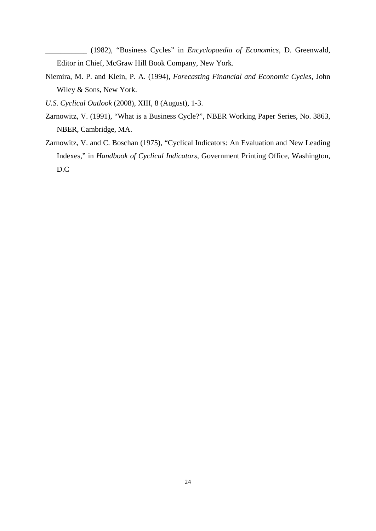\_\_\_\_\_\_\_\_\_\_\_ (1982), "Business Cycles" in *Encyclopaedia of Economics*, D. Greenwald, Editor in Chief, McGraw Hill Book Company, New York.

- Niemira, M. P. and Klein, P. A. (1994), *Forecasting Financial and Economic Cycles*, John Wiley & Sons, New York.
- *U.S. Cyclical Outlook* (2008), XIII, 8 (August), 1-3.
- Zarnowitz, V. (1991), "What is a Business Cycle?", NBER Working Paper Series, No. 3863, NBER, Cambridge, MA.
- Zarnowitz, V. and C. Boschan (1975), "Cyclical Indicators: An Evaluation and New Leading Indexes," in *Handbook of Cyclical Indicators*, Government Printing Office, Washington, D.C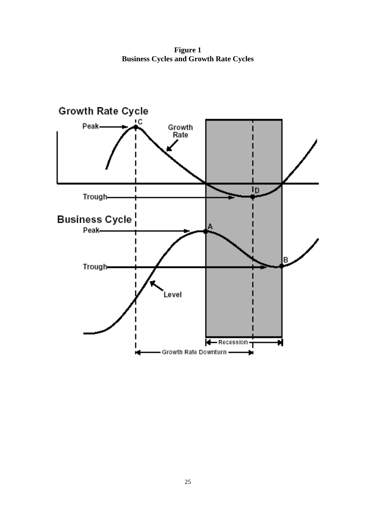**Figure 1 Business Cycles and Growth Rate Cycles**

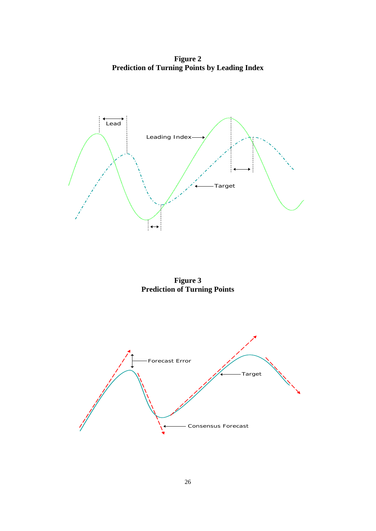**Figure 2 Prediction of Turning Points by Leading Index**



**Figure 3 Prediction of Turning Points**

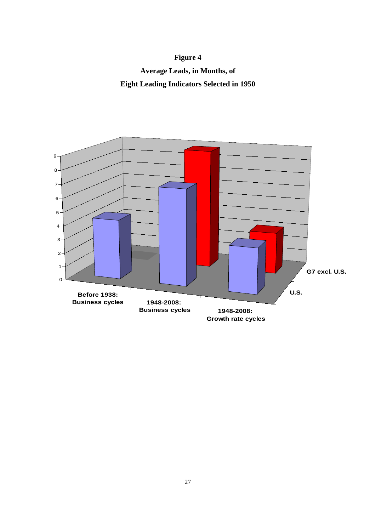## **Figure 4**

**Average Leads, in Months, of Eight Leading Indicators Selected in 1950**

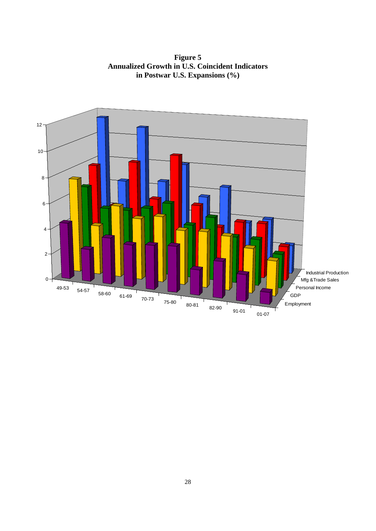**Figure 5 Annualized Growth in U.S. Coincident Indicators in Postwar U.S. Expansions (%)**